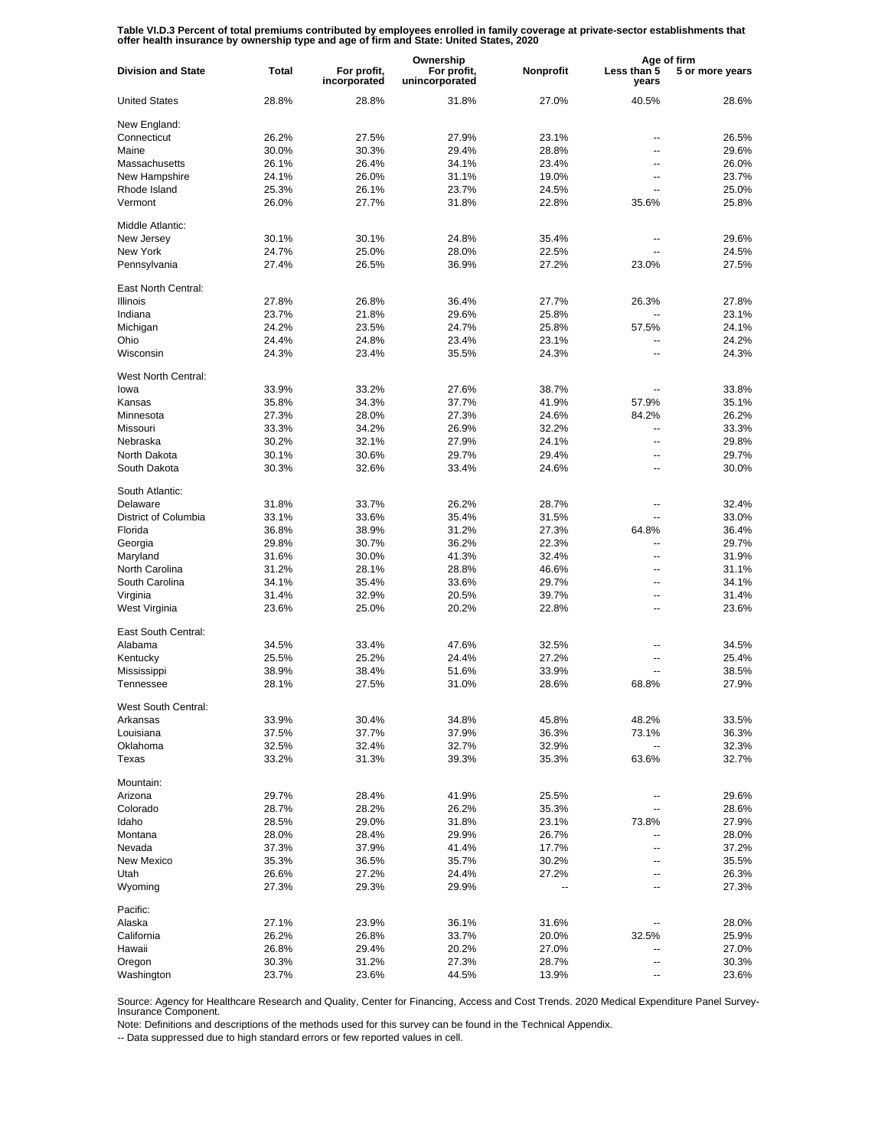Table VI.D.3 Percent of total premiums contributed by employees enrolled in family coverage at private-sector establishments that<br>offer health insurance by ownership type and age of firm and State: United States, 2020

|                           |              |                             | Ownership                     |           | Age of firm          |                 |
|---------------------------|--------------|-----------------------------|-------------------------------|-----------|----------------------|-----------------|
| <b>Division and State</b> | <b>Total</b> | For profit,<br>incorporated | For profit,<br>unincorporated | Nonprofit | Less than 5<br>years | 5 or more years |
| <b>United States</b>      | 28.8%        | 28.8%                       | 31.8%                         | 27.0%     | 40.5%                | 28.6%           |
| New England:              |              |                             |                               |           |                      |                 |
| Connecticut               | 26.2%        | 27.5%                       | 27.9%                         | 23.1%     | ۵.                   | 26.5%           |
| Maine                     | 30.0%        | 30.3%                       | 29.4%                         | 28.8%     | ۵.                   | 29.6%           |
| Massachusetts             | 26.1%        | 26.4%                       | 34.1%                         | 23.4%     | ۵.                   | 26.0%           |
| New Hampshire             | 24.1%        | 26.0%                       | 31.1%                         | 19.0%     | --                   | 23.7%           |
| Rhode Island              | 25.3%        | 26.1%                       | 23.7%                         | 24.5%     | ۵.                   | 25.0%           |
|                           |              |                             |                               |           |                      |                 |
| Vermont                   | 26.0%        | 27.7%                       | 31.8%                         | 22.8%     | 35.6%                | 25.8%           |
| Middle Atlantic:          |              |                             |                               |           |                      |                 |
| New Jersey                | 30.1%        | 30.1%                       | 24.8%                         | 35.4%     |                      | 29.6%           |
| New York                  | 24.7%        | 25.0%                       | 28.0%                         | 22.5%     | ۵.                   | 24.5%           |
| Pennsylvania              | 27.4%        | 26.5%                       | 36.9%                         | 27.2%     | 23.0%                | 27.5%           |
| East North Central:       |              |                             |                               |           |                      |                 |
| <b>Illinois</b>           | 27.8%        | 26.8%                       | 36.4%                         | 27.7%     | 26.3%                | 27.8%           |
| Indiana                   | 23.7%        | 21.8%                       | 29.6%                         | 25.8%     | $\overline{a}$       | 23.1%           |
| Michigan                  | 24.2%        | 23.5%                       | 24.7%                         | 25.8%     | 57.5%                | 24.1%           |
| Ohio                      | 24.4%        | 24.8%                       | 23.4%                         | 23.1%     | --                   | 24.2%           |
| Wisconsin                 | 24.3%        | 23.4%                       | 35.5%                         | 24.3%     | $\overline{a}$       | 24.3%           |
|                           |              |                             |                               |           |                      |                 |
| West North Central:       |              |                             |                               |           |                      |                 |
| lowa                      | 33.9%        | 33.2%                       | 27.6%                         | 38.7%     |                      | 33.8%           |
| Kansas                    | 35.8%        | 34.3%                       | 37.7%                         | 41.9%     | 57.9%                | 35.1%           |
| Minnesota                 | 27.3%        | 28.0%                       | 27.3%                         | 24.6%     | 84.2%                | 26.2%           |
| Missouri                  | 33.3%        | 34.2%                       | 26.9%                         | 32.2%     | ۵.                   | 33.3%           |
| Nebraska                  | 30.2%        | 32.1%                       | 27.9%                         | 24.1%     | ۵.                   | 29.8%           |
| North Dakota              | 30.1%        | 30.6%                       | 29.7%                         | 29.4%     | --                   | 29.7%           |
| South Dakota              | 30.3%        | 32.6%                       | 33.4%                         | 24.6%     | Ξ.                   | 30.0%           |
| South Atlantic:           |              |                             |                               |           |                      |                 |
| Delaware                  | 31.8%        | 33.7%                       | 26.2%                         | 28.7%     |                      | 32.4%           |
| District of Columbia      | 33.1%        | 33.6%                       | 35.4%                         | 31.5%     | --                   | 33.0%           |
| Florida                   |              |                             | 31.2%                         |           |                      |                 |
|                           | 36.8%        | 38.9%                       |                               | 27.3%     | 64.8%                | 36.4%           |
| Georgia                   | 29.8%        | 30.7%                       | 36.2%                         | 22.3%     | --                   | 29.7%           |
| Maryland                  | 31.6%        | 30.0%                       | 41.3%                         | 32.4%     | --                   | 31.9%           |
| North Carolina            | 31.2%        | 28.1%                       | 28.8%                         | 46.6%     | --                   | 31.1%           |
| South Carolina            | 34.1%        | 35.4%                       | 33.6%                         | 29.7%     | --                   | 34.1%           |
| Virginia                  | 31.4%        | 32.9%                       | 20.5%                         | 39.7%     | --                   | 31.4%           |
| West Virginia             | 23.6%        | 25.0%                       | 20.2%                         | 22.8%     | --                   | 23.6%           |
| East South Central:       |              |                             |                               |           |                      |                 |
| Alabama                   | 34.5%        | 33.4%                       | 47.6%                         | 32.5%     | --                   | 34.5%           |
| Kentucky                  | 25.5%        | 25.2%                       | 24.4%                         | 27.2%     | --                   | 25.4%           |
| Mississippi               | 38.9%        | 38.4%                       | 51.6%                         | 33.9%     | --                   | 38.5%           |
| Tennessee                 | 28.1%        | 27.5%                       | 31.0%                         | 28.6%     | 68.8%                | 27.9%           |
|                           |              |                             |                               |           |                      |                 |
| West South Central:       |              |                             |                               |           |                      |                 |
| Arkansas                  | 33.9%        | 30.4%                       | 34.8%                         | 45.8%     | 48.2%                | 33.5%           |
| Louisiana                 | 37.5%        | 37.7%                       | 37.9%                         | 36.3%     | 73.1%                | 36.3%           |
| Oklahoma                  | 32.5%        | 32.4%                       | 32.7%                         | 32.9%     | -−                   | 32.3%           |
| Texas                     | 33.2%        | 31.3%                       | 39.3%                         | 35.3%     | 63.6%                | 32.7%           |
| Mountain:                 |              |                             |                               |           |                      |                 |
| Arizona                   | 29.7%        | 28.4%                       | 41.9%                         | 25.5%     |                      | 29.6%           |
| Colorado                  | 28.7%        | 28.2%                       | 26.2%                         | 35.3%     | --                   | 28.6%           |
| Idaho                     | 28.5%        | 29.0%                       | 31.8%                         | 23.1%     | 73.8%                | 27.9%           |
|                           |              |                             |                               |           |                      |                 |
| Montana                   | 28.0%        | 28.4%                       | 29.9%                         | 26.7%     |                      | 28.0%           |
| Nevada                    | 37.3%        | 37.9%                       | 41.4%                         | 17.7%     | --                   | 37.2%           |
| New Mexico                | 35.3%        | 36.5%                       | 35.7%                         | 30.2%     | --                   | 35.5%           |
| Utah                      | 26.6%        | 27.2%                       | 24.4%                         | 27.2%     | --                   | 26.3%           |
| Wyoming                   | 27.3%        | 29.3%                       | 29.9%                         |           |                      | 27.3%           |
| Pacific:                  |              |                             |                               |           |                      |                 |
| Alaska                    | 27.1%        | 23.9%                       | 36.1%                         | 31.6%     |                      | 28.0%           |
| California                | 26.2%        | 26.8%                       | 33.7%                         | 20.0%     | 32.5%                | 25.9%           |
| Hawaii                    | 26.8%        | 29.4%                       | 20.2%                         | 27.0%     | --                   | 27.0%           |
| Oregon                    | 30.3%        | 31.2%                       | 27.3%                         | 28.7%     | --                   | 30.3%           |
|                           |              |                             |                               |           |                      |                 |
| Washington                | 23.7%        | 23.6%                       | 44.5%                         | 13.9%     | $\overline{a}$       | 23.6%           |

Source: Agency for Healthcare Research and Quality, Center for Financing, Access and Cost Trends. 2020 Medical Expenditure Panel Survey-Insurance Component.

Note: Definitions and descriptions of the methods used for this survey can be found in the Technical Appendix.

-- Data suppressed due to high standard errors or few reported values in cell.